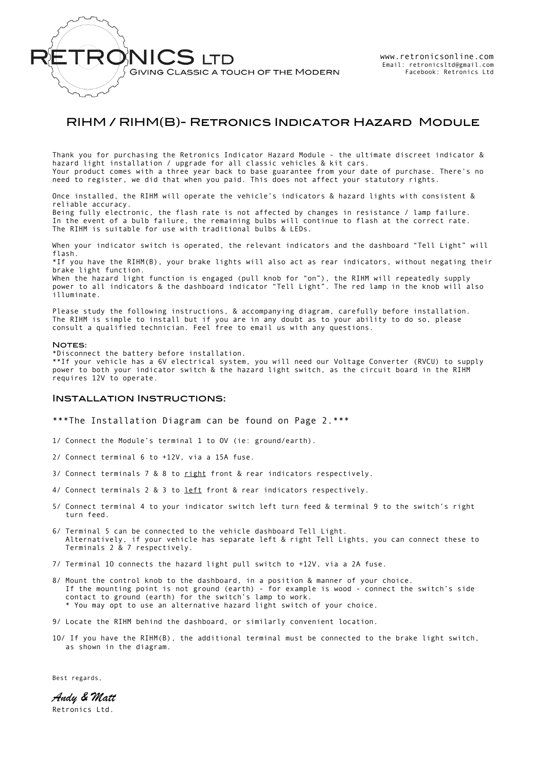

## RIHM / RIHM(B)- Retronics Indicator Hazard Module

Thank you for purchasing the Retronics Indicator Hazard Module - the ultimate discreet indicator & hazard light installation / upgrade for all classic vehicles & kit cars. Your product comes with a three year back to base guarantee from your date of purchase. There's no need to register, we did that when you paid. This does not affect your statutory rights.

Once installed, the RIHM will operate the vehicle's indicators & hazard lights with consistent & reliable accuracy. Being fully electronic, the flash rate is not affected by changes in resistance / lamp failure. In the event of a bulb failure, the remaining bulbs will continue to flash at the correct rate. The RIHM is suitable for use with traditional bulbs & LEDs.

When your indicator switch is operated, the relevant indicators and the dashboard "Tell Light" will flash.

\*If you have the RIHM(B), your brake lights will also act as rear indicators, without negating their brake light function.

When the hazard light function is engaged (pull knob for "on"), the RIHM will repeatedly supply power to all indicators & the dashboard indicator "Tell Light". The red lamp in the knob will also illuminate.

Please study the following instructions, & accompanying diagram, carefully before installation. The RIHM is simple to install but if you are in any doubt as to your ability to do so, please consult a qualified technician. Feel free to email us with any questions.

## NOTES:

\*Disconnect the battery before installation. \*\*If your vehicle has a 6V electrical system, you will need our Voltage Converter (RVCU) to supply power to both your indicator switch & the hazard light switch, as the circuit board in the RIHM requires 12V to operate.

## Installation Instructions:

\*\*\*The Installation Diagram can be found on Page 2.\*\*\*

- 1/ Connect the Module's terminal 1 to OV (ie: ground/earth).
- 2/ Connect terminal 6 to +12V, via a 15A fuse.
- 3/ Connect terminals 7 & 8 to right front & rear indicators respectively.
- 4/ Connect terminals 2 & 3 to left front & rear indicators respectively.
- 5/ Connect terminal 4 to your indicator switch left turn feed & terminal 9 to the switch's right turn feed.
- 6/ Terminal 5 can be connected to the vehicle dashboard Tell Light. Alternatively, if your vehicle has separate left & right Tell Lights, you can connect these to Terminals 2 & 7 respectively.
- 7/ Terminal 1O connects the hazard light pull switch to +12V, via a 2A fuse.
- 8/ Mount the control knob to the dashboard, in a position & manner of your choice. If the mounting point is not ground (earth) - for example is wood - connect the switch's side contact to ground (earth) for the switch's lamp to work. \* You may opt to use an alternative hazard light switch of your choice.
- 9/ Locate the RIHM behind the dashboard, or similarly convenient location.
- 1O/ If you have the RIHM(B), the additional terminal must be connected to the brake light switch, as shown in the diagram.

Best regards,

*Andy & Matt*  Retronics Ltd.